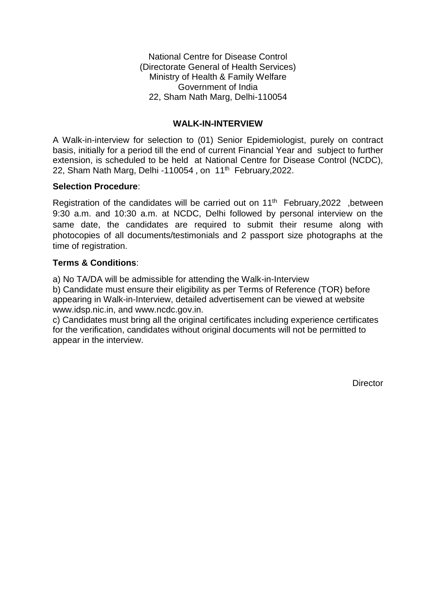National Centre for Disease Control (Directorate General of Health Services) Ministry of Health & Family Welfare Government of India 22, Sham Nath Marg, Delhi-110054

### **WALK-IN-INTERVIEW**

A Walk-in-interview for selection to (01) Senior Epidemiologist, purely on contract basis, initially for a period till the end of current Financial Year and subject to further extension, is scheduled to be held at National Centre for Disease Control (NCDC), 22, Sham Nath Marg, Delhi -110054, on 11<sup>th</sup> February, 2022.

### **Selection Procedure**:

Registration of the candidates will be carried out on 11<sup>th</sup> February, 2022, between 9:30 a.m. and 10:30 a.m. at NCDC, Delhi followed by personal interview on the same date, the candidates are required to submit their resume along with photocopies of all documents/testimonials and 2 passport size photographs at the time of registration.

# **Terms & Conditions**:

a) No TA/DA will be admissible for attending the Walk-in-Interview

b) Candidate must ensure their eligibility as per Terms of Reference (TOR) before appearing in Walk-in-Interview, detailed advertisement can be viewed at website www.idsp.nic.in, and www.ncdc.gov.in.

c) Candidates must bring all the original certificates including experience certificates for the verification, candidates without original documents will not be permitted to appear in the interview.

**Director**